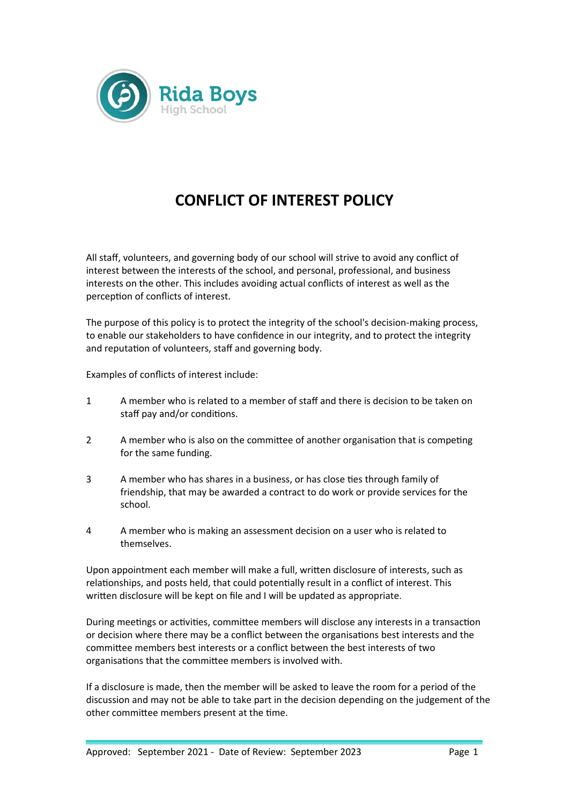

## **CONFLICT OF INTEREST POLICY**

All staff, volunteers, and governing body of our school will strive to avoid any conflict of interest between the interests of the school, and personal, professional, and business interests on the other. This includes avoiding actual conflicts of interest as well as the perception of conflicts of interest.

The purpose of this policy is to protect the integrity of the school's decision-making process, to enable our stakeholders to have confidence in our integrity, and to protect the integrity and reputation of volunteers, staff and governing body.

Examples of conflicts of interest include:

- 1 A member who is related to a member of staff and there is decision to be taken on staff pay and/or conditions.
- 2 A member who is also on the committee of another organisation that is competing for the same funding.
- 3 A member who has shares in a business, or has close ties through family of friendship, that may be awarded a contract to do work or provide services for the school.
- 4 A member who is making an assessment decision on a user who is related to themselves.

Upon appointment each member will make a full, written disclosure of interests, such as relationships, and posts held, that could potentially result in a conflict of interest. This written disclosure will be kept on file and I will be updated as appropriate.

During meetings or activities, committee members will disclose any interests in a transaction or decision where there may be a conflict between the organisations best interests and the committee members best interests or a conflict between the best interests of two organisations that the committee members is involved with.

If a disclosure is made, then the member will be asked to leave the room for a period of the discussion and may not be able to take part in the decision depending on the judgement of the other committee members present at the time.